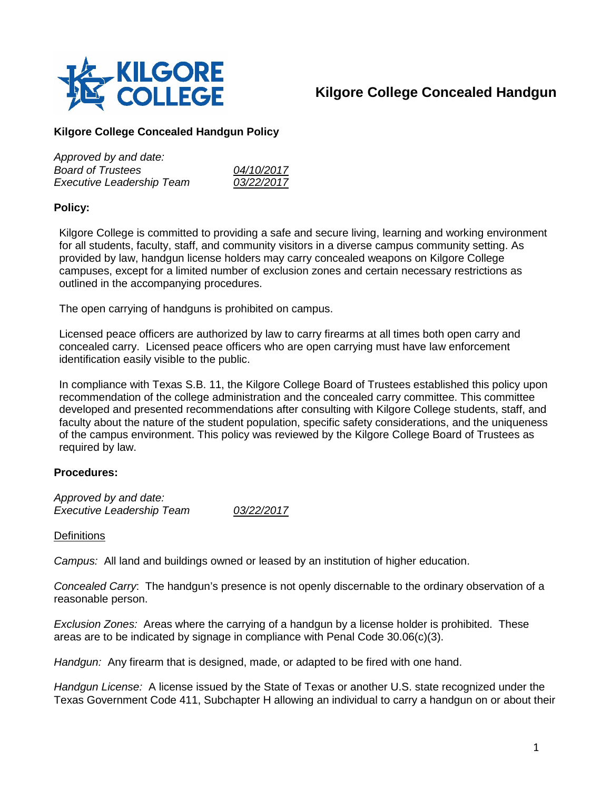

# **Kilgore College Concealed Handgun**

# **Kilgore College Concealed Handgun Policy**

| Approved by and date:            |            |
|----------------------------------|------------|
| <b>Board of Trustees</b>         | 04/10/2017 |
| <b>Executive Leadership Team</b> | 03/22/2017 |

# **Policy:**

Kilgore College is committed to providing a safe and secure living, learning and working environment for all students, faculty, staff, and community visitors in a diverse campus community setting. As provided by law, handgun license holders may carry concealed weapons on Kilgore College campuses, except for a limited number of exclusion zones and certain necessary restrictions as outlined in the accompanying procedures.

The open carrying of handguns is prohibited on campus.

Licensed peace officers are authorized by law to carry firearms at all times both open carry and concealed carry. Licensed peace officers who are open carrying must have law enforcement identification easily visible to the public.

In compliance with Texas S.B. 11, the Kilgore College Board of Trustees established this policy upon recommendation of the college administration and the concealed carry committee. This committee developed and presented recommendations after consulting with Kilgore College students, staff, and faculty about the nature of the student population, specific safety considerations, and the uniqueness of the campus environment. This policy was reviewed by the Kilgore College Board of Trustees as required by law.

# **Procedures:**

*Approved by and date: Executive Leadership Team 03/22/2017*

#### **Definitions**

*Campus:* All land and buildings owned or leased by an institution of higher education.

*Concealed Carry*: The handgun's presence is not openly discernable to the ordinary observation of a reasonable person.

*Exclusion Zones:* Areas where the carrying of a handgun by a license holder is prohibited. These areas are to be indicated by signage in compliance with Penal Code 30.06(c)(3).

*Handgun:* Any firearm that is designed, made, or adapted to be fired with one hand.

*Handgun License:* A license issued by the State of Texas or another U.S. state recognized under the Texas Government Code 411, Subchapter H allowing an individual to carry a handgun on or about their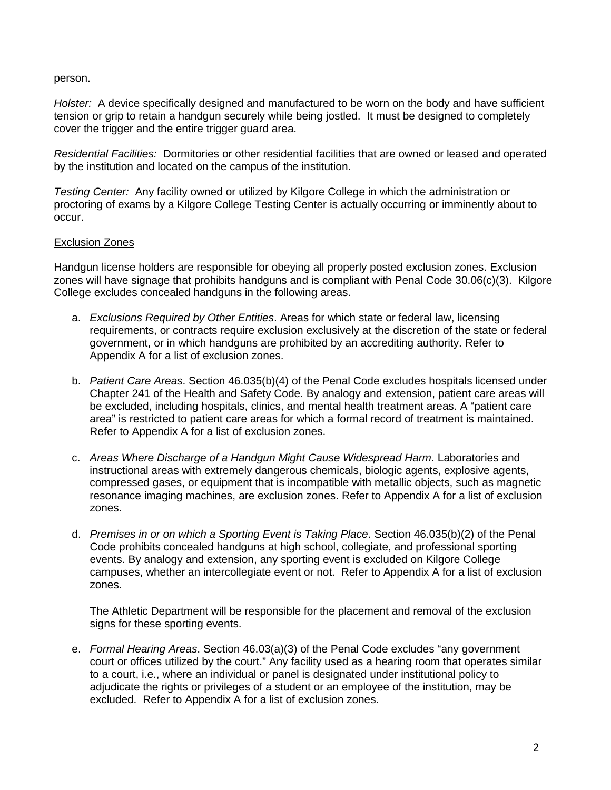#### person.

*Holster:* A device specifically designed and manufactured to be worn on the body and have sufficient tension or grip to retain a handgun securely while being jostled. It must be designed to completely cover the trigger and the entire trigger guard area.

*Residential Facilities:* Dormitories or other residential facilities that are owned or leased and operated by the institution and located on the campus of the institution.

*Testing Center:* Any facility owned or utilized by Kilgore College in which the administration or proctoring of exams by a Kilgore College Testing Center is actually occurring or imminently about to occur.

#### Exclusion Zones

Handgun license holders are responsible for obeying all properly posted exclusion zones. Exclusion zones will have signage that prohibits handguns and is compliant with Penal Code 30.06(c)(3). Kilgore College excludes concealed handguns in the following areas.

- a. *Exclusions Required by Other Entities*. Areas for which state or federal law, licensing requirements, or contracts require exclusion exclusively at the discretion of the state or federal government, or in which handguns are prohibited by an accrediting authority. Refer to Appendix A for a list of exclusion zones.
- b. *Patient Care Areas*. Section 46.035(b)(4) of the Penal Code excludes hospitals licensed under Chapter 241 of the Health and Safety Code. By analogy and extension, patient care areas will be excluded, including hospitals, clinics, and mental health treatment areas. A "patient care area" is restricted to patient care areas for which a formal record of treatment is maintained. Refer to Appendix A for a list of exclusion zones.
- c. *Areas Where Discharge of a Handgun Might Cause Widespread Harm*. Laboratories and instructional areas with extremely dangerous chemicals, biologic agents, explosive agents, compressed gases, or equipment that is incompatible with metallic objects, such as magnetic resonance imaging machines, are exclusion zones. Refer to Appendix A for a list of exclusion zones.
- d. *Premises in or on which a Sporting Event is Taking Place*. Section 46.035(b)(2) of the Penal Code prohibits concealed handguns at high school, collegiate, and professional sporting events. By analogy and extension, any sporting event is excluded on Kilgore College campuses, whether an intercollegiate event or not. Refer to Appendix A for a list of exclusion zones.

The Athletic Department will be responsible for the placement and removal of the exclusion signs for these sporting events.

e. *Formal Hearing Areas*. Section 46.03(a)(3) of the Penal Code excludes "any government court or offices utilized by the court." Any facility used as a hearing room that operates similar to a court, i.e., where an individual or panel is designated under institutional policy to adjudicate the rights or privileges of a student or an employee of the institution, may be excluded. Refer to Appendix A for a list of exclusion zones.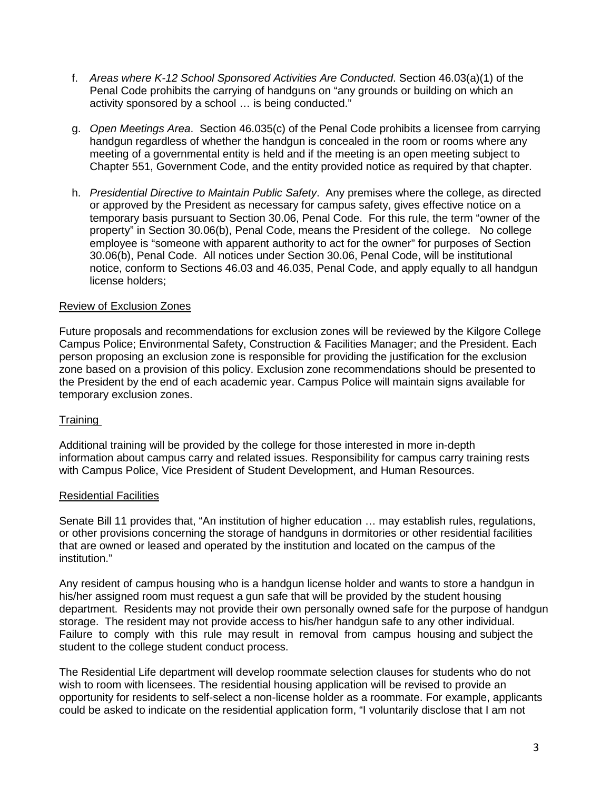- f. *Areas where K-12 School Sponsored Activities Are Conducted*. Section 46.03(a)(1) of the Penal Code prohibits the carrying of handguns on "any grounds or building on which an activity sponsored by a school … is being conducted."
- g. *Open Meetings Area*. Section 46.035(c) of the Penal Code prohibits a licensee from carrying handgun regardless of whether the handgun is concealed in the room or rooms where any meeting of a governmental entity is held and if the meeting is an open meeting subject to Chapter 551, Government Code, and the entity provided notice as required by that chapter.
- h. *Presidential Directive to Maintain Public Safety*. Any premises where the college, as directed or approved by the President as necessary for campus safety, gives effective notice on a temporary basis pursuant to Section 30.06, Penal Code. For this rule, the term "owner of the property" in Section 30.06(b), Penal Code, means the President of the college. No college employee is "someone with apparent authority to act for the owner" for purposes of Section 30.06(b), Penal Code. All notices under Section 30.06, Penal Code, will be institutional notice, conform to Sections 46.03 and 46.035, Penal Code, and apply equally to all handgun license holders;

# Review of Exclusion Zones

Future proposals and recommendations for exclusion zones will be reviewed by the Kilgore College Campus Police; Environmental Safety, Construction & Facilities Manager; and the President. Each person proposing an exclusion zone is responsible for providing the justification for the exclusion zone based on a provision of this policy. Exclusion zone recommendations should be presented to the President by the end of each academic year. Campus Police will maintain signs available for temporary exclusion zones.

# Training

Additional training will be provided by the college for those interested in more in-depth information about campus carry and related issues. Responsibility for campus carry training rests with Campus Police, Vice President of Student Development, and Human Resources.

# Residential Facilities

Senate Bill 11 provides that, "An institution of higher education … may establish rules, regulations, or other provisions concerning the storage of handguns in dormitories or other residential facilities that are owned or leased and operated by the institution and located on the campus of the institution."

Any resident of campus housing who is a handgun license holder and wants to store a handgun in his/her assigned room must request a gun safe that will be provided by the student housing department. Residents may not provide their own personally owned safe for the purpose of handgun storage. The resident may not provide access to his/her handgun safe to any other individual. Failure to comply with this rule may result in removal from campus housing and subject the student to the college student conduct process.

The Residential Life department will develop roommate selection clauses for students who do not wish to room with licensees. The residential housing application will be revised to provide an opportunity for residents to self-select a non-license holder as a roommate. For example, applicants could be asked to indicate on the residential application form, "I voluntarily disclose that I am not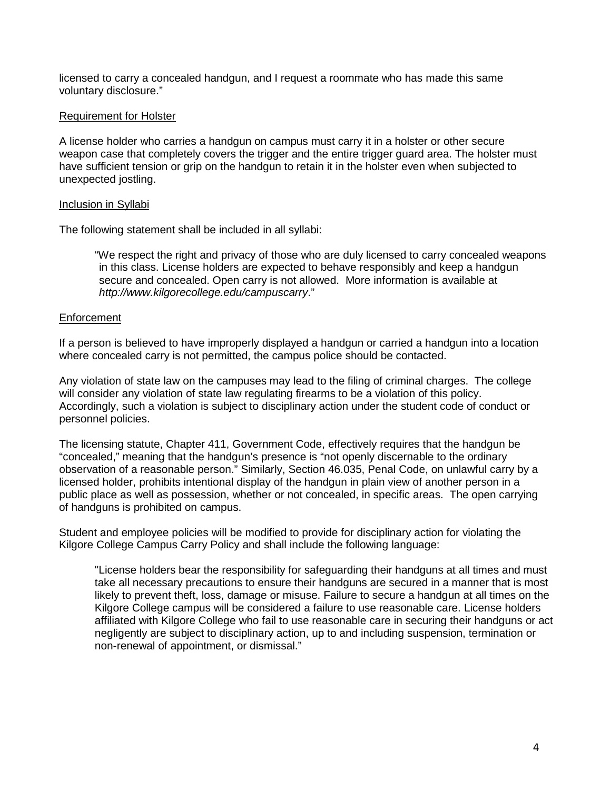licensed to carry a concealed handgun, and I request a roommate who has made this same voluntary disclosure."

#### Requirement for Holster

A license holder who carries a handgun on campus must carry it in a holster or other secure weapon case that completely covers the trigger and the entire trigger guard area. The holster must have sufficient tension or grip on the handgun to retain it in the holster even when subjected to unexpected jostling.

#### Inclusion in Syllabi

The following statement shall be included in all syllabi:

"We respect the right and privacy of those who are duly licensed to carry concealed weapons in this class. License holders are expected to behave responsibly and keep a handgun secure and concealed. Open carry is not allowed. More information is available at *http://www.kilgorecollege.edu/campuscarry*."

#### **Enforcement**

If a person is believed to have improperly displayed a handgun or carried a handgun into a location where concealed carry is not permitted, the campus police should be contacted.

Any violation of state law on the campuses may lead to the filing of criminal charges. The college will consider any violation of state law regulating firearms to be a violation of this policy. Accordingly, such a violation is subject to disciplinary action under the student code of conduct or personnel policies.

The licensing statute, Chapter 411, Government Code, effectively requires that the handgun be "concealed," meaning that the handgun's presence is "not openly discernable to the ordinary observation of a reasonable person." Similarly, Section 46.035, Penal Code, on unlawful carry by a licensed holder, prohibits intentional display of the handgun in plain view of another person in a public place as well as possession, whether or not concealed, in specific areas. The open carrying of handguns is prohibited on campus.

Student and employee policies will be modified to provide for disciplinary action for violating the Kilgore College Campus Carry Policy and shall include the following language:

"License holders bear the responsibility for safeguarding their handguns at all times and must take all necessary precautions to ensure their handguns are secured in a manner that is most likely to prevent theft, loss, damage or misuse. Failure to secure a handgun at all times on the Kilgore College campus will be considered a failure to use reasonable care. License holders affiliated with Kilgore College who fail to use reasonable care in securing their handguns or act negligently are subject to disciplinary action, up to and including suspension, termination or non-renewal of appointment, or dismissal."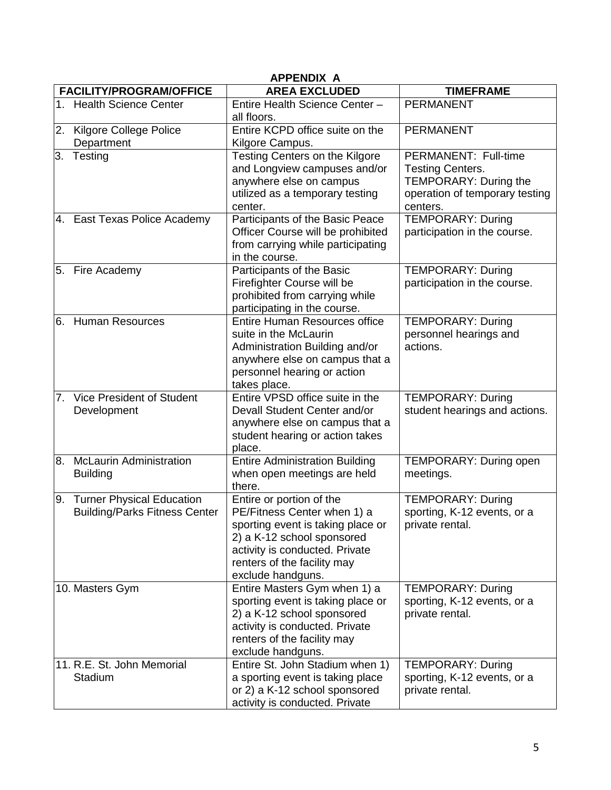| <b>APPENDIX A</b> |                                                                          |                                                                                                                                                                                                                  |                                                                                                                        |  |
|-------------------|--------------------------------------------------------------------------|------------------------------------------------------------------------------------------------------------------------------------------------------------------------------------------------------------------|------------------------------------------------------------------------------------------------------------------------|--|
|                   | <b>FACILITY/PROGRAM/OFFICE</b>                                           | <b>AREA EXCLUDED</b>                                                                                                                                                                                             | <b>TIMEFRAME</b>                                                                                                       |  |
|                   | 1. Health Science Center                                                 | Entire Health Science Center -<br>all floors.                                                                                                                                                                    | <b>PERMANENT</b>                                                                                                       |  |
|                   | 2. Kilgore College Police<br>Department                                  | Entire KCPD office suite on the<br>Kilgore Campus.                                                                                                                                                               | <b>PERMANENT</b>                                                                                                       |  |
|                   | 3. Testing                                                               | Testing Centers on the Kilgore<br>and Longview campuses and/or<br>anywhere else on campus<br>utilized as a temporary testing<br>center.                                                                          | PERMANENT: Full-time<br><b>Testing Centers.</b><br>TEMPORARY: During the<br>operation of temporary testing<br>centers. |  |
|                   | 4. East Texas Police Academy                                             | Participants of the Basic Peace<br>Officer Course will be prohibited<br>from carrying while participating<br>in the course.                                                                                      | <b>TEMPORARY: During</b><br>participation in the course.                                                               |  |
|                   | 5. Fire Academy                                                          | Participants of the Basic<br>Firefighter Course will be<br>prohibited from carrying while<br>participating in the course.                                                                                        | <b>TEMPORARY: During</b><br>participation in the course.                                                               |  |
| 6.                | <b>Human Resources</b>                                                   | <b>Entire Human Resources office</b><br>suite in the McLaurin<br>Administration Building and/or<br>anywhere else on campus that a<br>personnel hearing or action<br>takes place.                                 | <b>TEMPORARY: During</b><br>personnel hearings and<br>actions.                                                         |  |
| 7.                | <b>Vice President of Student</b><br>Development                          | Entire VPSD office suite in the<br>Devall Student Center and/or<br>anywhere else on campus that a<br>student hearing or action takes<br>place.                                                                   | <b>TEMPORARY: During</b><br>student hearings and actions.                                                              |  |
|                   | 8. McLaurin Administration<br><b>Building</b>                            | <b>Entire Administration Building</b><br>when open meetings are held<br>there.                                                                                                                                   | <b>TEMPORARY: During open</b><br>meetings.                                                                             |  |
| 9.                | <b>Turner Physical Education</b><br><b>Building/Parks Fitness Center</b> | Entire or portion of the<br>PE/Fitness Center when 1) a<br>sporting event is taking place or<br>2) a K-12 school sponsored<br>activity is conducted. Private<br>renters of the facility may<br>exclude handguns. | <b>TEMPORARY: During</b><br>sporting, K-12 events, or a<br>private rental.                                             |  |
|                   | 10. Masters Gym                                                          | Entire Masters Gym when 1) a<br>sporting event is taking place or<br>2) a K-12 school sponsored<br>activity is conducted. Private<br>renters of the facility may<br>exclude handguns.                            | <b>TEMPORARY: During</b><br>sporting, K-12 events, or a<br>private rental.                                             |  |
|                   | 11. R.E. St. John Memorial<br>Stadium                                    | Entire St. John Stadium when 1)<br>a sporting event is taking place<br>or 2) a K-12 school sponsored<br>activity is conducted. Private                                                                           | <b>TEMPORARY: During</b><br>sporting, K-12 events, or a<br>private rental.                                             |  |